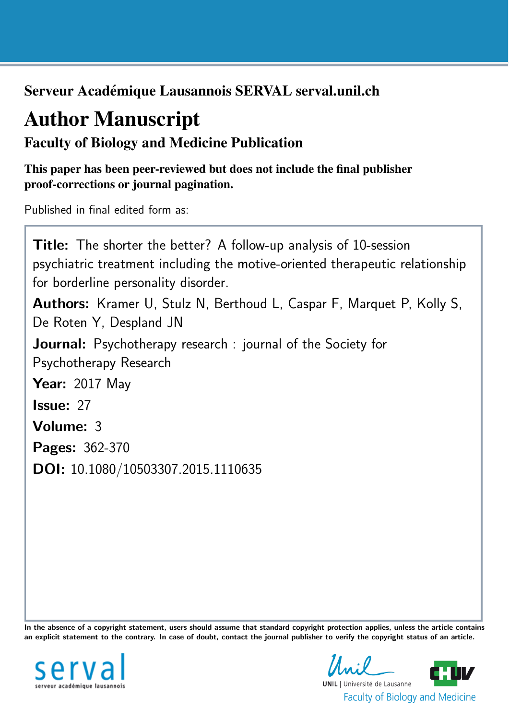Serveur Académique Lausannois SERVAL serval.unil.ch

# Author Manuscript

## Faculty of Biology and Medicine Publication

This paper has been peer-reviewed but does not include the final publisher proof-corrections or journal pagination.

Published in final edited form as:

Title: The shorter the better? A follow-up analysis of 10-session psychiatric treatment including the motive-oriented therapeutic relationship for borderline personality disorder. Authors: Kramer U, Stulz N, Berthoud L, Caspar F, Marquet P, Kolly S, De Roten Y, Despland JN **Journal:** Psychotherapy research : journal of the Society for Psychotherapy Research **Year: 2017 May** Issue: 27 Volume: 3 Pages: 362-370 DOI: [10.1080/10503307.2015.1110635](http://dx.doi.org/10.1080/10503307.2015.1110635)

In the absence of a copyright statement, users should assume that standard copyright protection applies, unless the article contains an explicit statement to the contrary. In case of doubt, contact the journal publisher to verify the copyright status of an article.



**UNIL** | Université de Lausanne **Faculty of Biology and Medicine**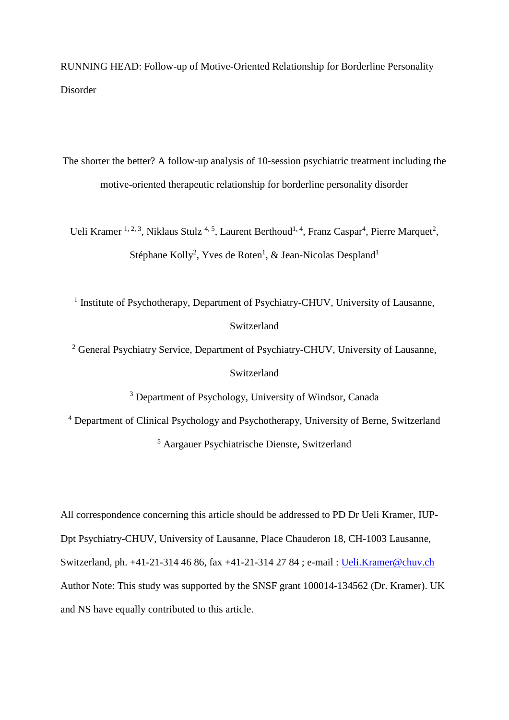RUNNING HEAD: Follow-up of Motive-Oriented Relationship for Borderline Personality Disorder

The shorter the better? A follow-up analysis of 10-session psychiatric treatment including the motive-oriented therapeutic relationship for borderline personality disorder

Ueli Kramer <sup>1, 2, 3</sup>, Niklaus Stulz<sup>4, 5</sup>, Laurent Berthoud<sup>1, 4</sup>, Franz Caspar<sup>4</sup>, Pierre Marquet<sup>2</sup>, Stéphane Kolly<sup>2</sup>, Yves de Roten<sup>1</sup>, & Jean-Nicolas Despland<sup>1</sup>

<sup>1</sup> Institute of Psychotherapy, Department of Psychiatry-CHUV, University of Lausanne, Switzerland

<sup>2</sup> General Psychiatry Service, Department of Psychiatry-CHUV, University of Lausanne,

Switzerland

<sup>3</sup> Department of Psychology, University of Windsor, Canada

<sup>4</sup> Department of Clinical Psychology and Psychotherapy, University of Berne, Switzerland

<sup>5</sup> Aargauer Psychiatrische Dienste, Switzerland

All correspondence concerning this article should be addressed to PD Dr Ueli Kramer, IUP-Dpt Psychiatry-CHUV, University of Lausanne, Place Chauderon 18, CH-1003 Lausanne, Switzerland, ph. +41-21-314 46 86, fax +41-21-314 27 84 ; e-mail : [Ueli.Kramer@chuv.ch](mailto:Ueli.Kramer@chuv.ch) Author Note: This study was supported by the SNSF grant 100014-134562 (Dr. Kramer). UK and NS have equally contributed to this article.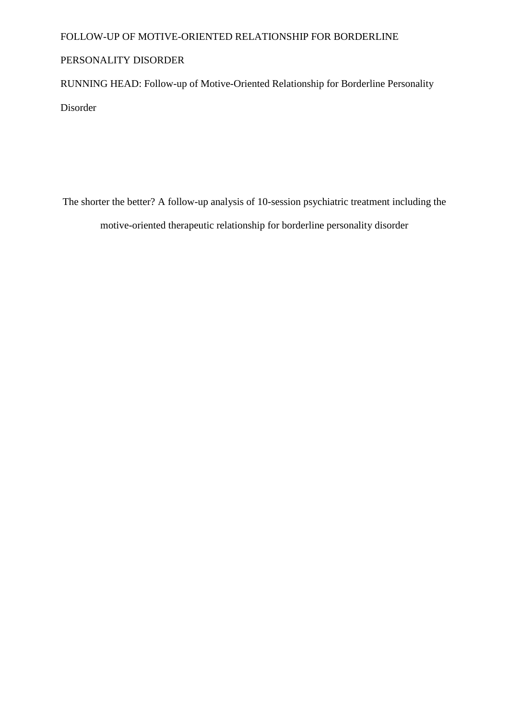### FOLLOW-UP OF MOTIVE-ORIENTED RELATIONSHIP FOR BORDERLINE

## PERSONALITY DISORDER

RUNNING HEAD: Follow-up of Motive-Oriented Relationship for Borderline Personality

Disorder

The shorter the better? A follow-up analysis of 10-session psychiatric treatment including the motive-oriented therapeutic relationship for borderline personality disorder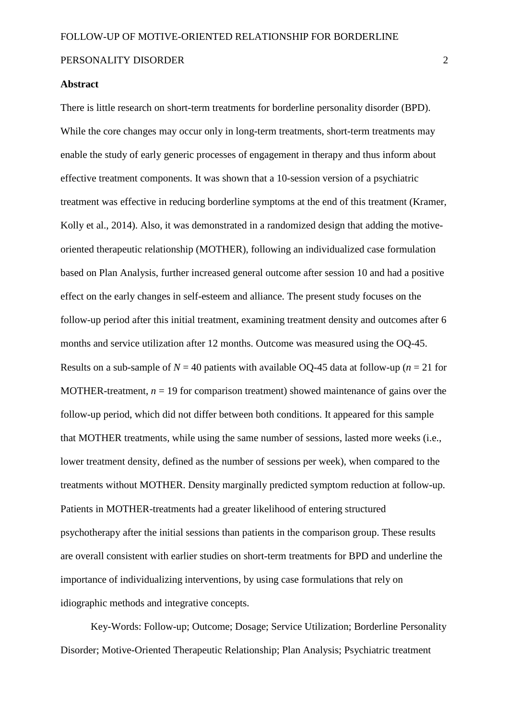#### **Abstract**

There is little research on short-term treatments for borderline personality disorder (BPD). While the core changes may occur only in long-term treatments, short-term treatments may enable the study of early generic processes of engagement in therapy and thus inform about effective treatment components. It was shown that a 10-session version of a psychiatric treatment was effective in reducing borderline symptoms at the end of this treatment (Kramer, Kolly et al., 2014). Also, it was demonstrated in a randomized design that adding the motiveoriented therapeutic relationship (MOTHER), following an individualized case formulation based on Plan Analysis, further increased general outcome after session 10 and had a positive effect on the early changes in self-esteem and alliance. The present study focuses on the follow-up period after this initial treatment, examining treatment density and outcomes after 6 months and service utilization after 12 months. Outcome was measured using the OQ-45. Results on a sub-sample of  $N = 40$  patients with available OO-45 data at follow-up ( $n = 21$  for MOTHER-treatment,  $n = 19$  for comparison treatment) showed maintenance of gains over the follow-up period, which did not differ between both conditions. It appeared for this sample that MOTHER treatments, while using the same number of sessions, lasted more weeks (i.e., lower treatment density, defined as the number of sessions per week), when compared to the treatments without MOTHER. Density marginally predicted symptom reduction at follow-up. Patients in MOTHER-treatments had a greater likelihood of entering structured psychotherapy after the initial sessions than patients in the comparison group. These results are overall consistent with earlier studies on short-term treatments for BPD and underline the importance of individualizing interventions, by using case formulations that rely on idiographic methods and integrative concepts.

Key-Words: Follow-up; Outcome; Dosage; Service Utilization; Borderline Personality Disorder; Motive-Oriented Therapeutic Relationship; Plan Analysis; Psychiatric treatment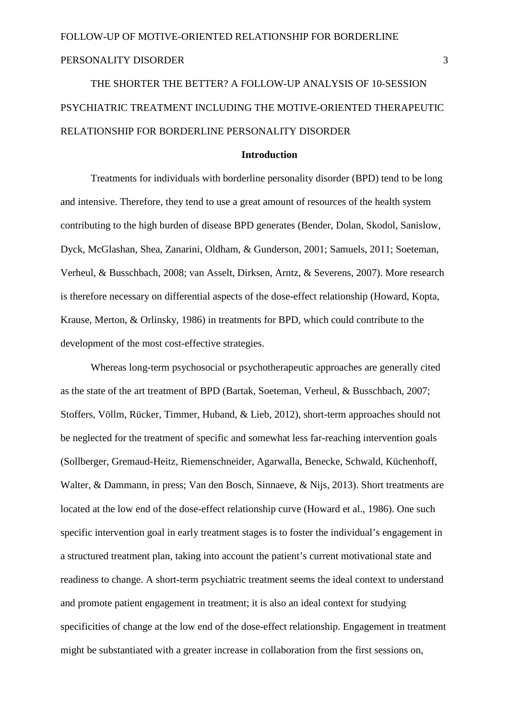THE SHORTER THE BETTER? A FOLLOW-UP ANALYSIS OF 10-SESSION PSYCHIATRIC TREATMENT INCLUDING THE MOTIVE-ORIENTED THERAPEUTIC RELATIONSHIP FOR BORDERLINE PERSONALITY DISORDER

#### **Introduction**

Treatments for individuals with borderline personality disorder (BPD) tend to be long and intensive. Therefore, they tend to use a great amount of resources of the health system contributing to the high burden of disease BPD generates (Bender, Dolan, Skodol, Sanislow, Dyck, McGlashan, Shea, Zanarini, Oldham, & Gunderson, 2001; Samuels, 2011; Soeteman, Verheul, & Busschbach, 2008; van Asselt, Dirksen, Arntz, & Severens, 2007). More research is therefore necessary on differential aspects of the dose-effect relationship (Howard, Kopta, Krause, Merton, & Orlinsky, 1986) in treatments for BPD, which could contribute to the development of the most cost-effective strategies.

Whereas long-term psychosocial or psychotherapeutic approaches are generally cited as the state of the art treatment of BPD (Bartak, Soeteman, Verheul, & Busschbach, 2007; Stoffers, Völlm, Rücker, Timmer, Huband, & Lieb, 2012), short-term approaches should not be neglected for the treatment of specific and somewhat less far-reaching intervention goals (Sollberger, Gremaud-Heitz, Riemenschneider, Agarwalla, Benecke, Schwald, Küchenhoff, Walter, & Dammann, in press; Van den Bosch, Sinnaeve, & Nijs, 2013). Short treatments are located at the low end of the dose-effect relationship curve (Howard et al., 1986). One such specific intervention goal in early treatment stages is to foster the individual's engagement in a structured treatment plan, taking into account the patient's current motivational state and readiness to change. A short-term psychiatric treatment seems the ideal context to understand and promote patient engagement in treatment; it is also an ideal context for studying specificities of change at the low end of the dose-effect relationship. Engagement in treatment might be substantiated with a greater increase in collaboration from the first sessions on,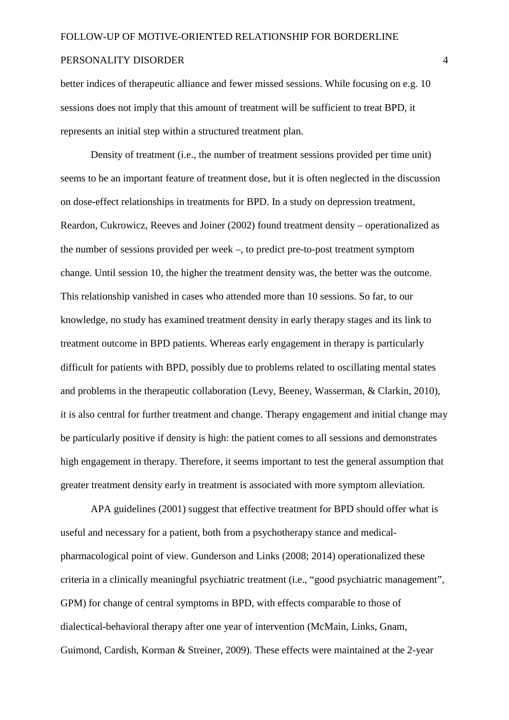better indices of therapeutic alliance and fewer missed sessions. While focusing on e.g. 10 sessions does not imply that this amount of treatment will be sufficient to treat BPD, it represents an initial step within a structured treatment plan.

Density of treatment (i.e., the number of treatment sessions provided per time unit) seems to be an important feature of treatment dose, but it is often neglected in the discussion on dose-effect relationships in treatments for BPD. In a study on depression treatment, Reardon, Cukrowicz, Reeves and Joiner (2002) found treatment density – operationalized as the number of sessions provided per week –, to predict pre-to-post treatment symptom change. Until session 10, the higher the treatment density was, the better was the outcome. This relationship vanished in cases who attended more than 10 sessions. So far, to our knowledge, no study has examined treatment density in early therapy stages and its link to treatment outcome in BPD patients. Whereas early engagement in therapy is particularly difficult for patients with BPD, possibly due to problems related to oscillating mental states and problems in the therapeutic collaboration (Levy, Beeney, Wasserman, & Clarkin, 2010), it is also central for further treatment and change. Therapy engagement and initial change may be particularly positive if density is high: the patient comes to all sessions and demonstrates high engagement in therapy. Therefore, it seems important to test the general assumption that greater treatment density early in treatment is associated with more symptom alleviation.

APA guidelines (2001) suggest that effective treatment for BPD should offer what is useful and necessary for a patient, both from a psychotherapy stance and medicalpharmacological point of view. Gunderson and Links (2008; 2014) operationalized these criteria in a clinically meaningful psychiatric treatment (i.e., "good psychiatric management", GPM) for change of central symptoms in BPD, with effects comparable to those of dialectical-behavioral therapy after one year of intervention (McMain, Links, Gnam, Guimond, Cardish, Korman & Streiner, 2009). These effects were maintained at the 2-year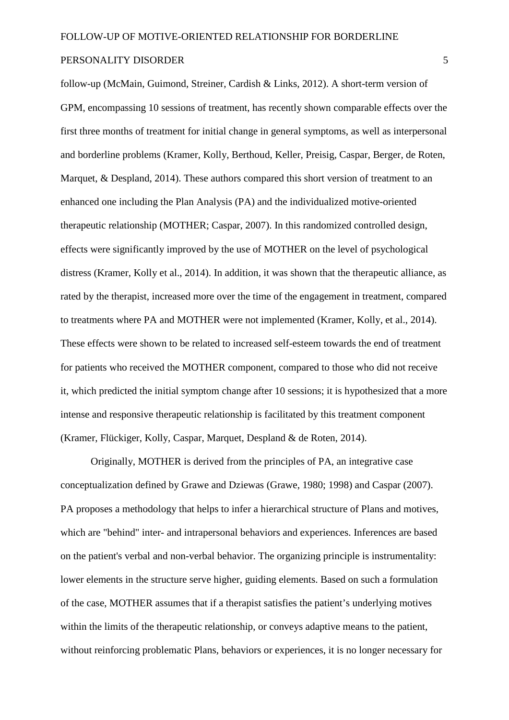follow-up (McMain, Guimond, Streiner, Cardish & Links, 2012). A short-term version of GPM, encompassing 10 sessions of treatment, has recently shown comparable effects over the first three months of treatment for initial change in general symptoms, as well as interpersonal and borderline problems (Kramer, Kolly, Berthoud, Keller, Preisig, Caspar, Berger, de Roten, Marquet, & Despland, 2014). These authors compared this short version of treatment to an enhanced one including the Plan Analysis (PA) and the individualized motive-oriented therapeutic relationship (MOTHER; Caspar, 2007). In this randomized controlled design, effects were significantly improved by the use of MOTHER on the level of psychological distress (Kramer, Kolly et al., 2014). In addition, it was shown that the therapeutic alliance, as rated by the therapist, increased more over the time of the engagement in treatment, compared to treatments where PA and MOTHER were not implemented (Kramer, Kolly, et al., 2014). These effects were shown to be related to increased self-esteem towards the end of treatment for patients who received the MOTHER component, compared to those who did not receive it, which predicted the initial symptom change after 10 sessions; it is hypothesized that a more intense and responsive therapeutic relationship is facilitated by this treatment component (Kramer, Flückiger, Kolly, Caspar, Marquet, Despland & de Roten, 2014).

Originally, MOTHER is derived from the principles of PA, an integrative case conceptualization defined by Grawe and Dziewas (Grawe, 1980; 1998) and Caspar (2007). PA proposes a methodology that helps to infer a hierarchical structure of Plans and motives, which are "behind" inter- and intrapersonal behaviors and experiences. Inferences are based on the patient's verbal and non-verbal behavior. The organizing principle is instrumentality: lower elements in the structure serve higher, guiding elements. Based on such a formulation of the case, MOTHER assumes that if a therapist satisfies the patient's underlying motives within the limits of the therapeutic relationship, or conveys adaptive means to the patient, without reinforcing problematic Plans, behaviors or experiences, it is no longer necessary for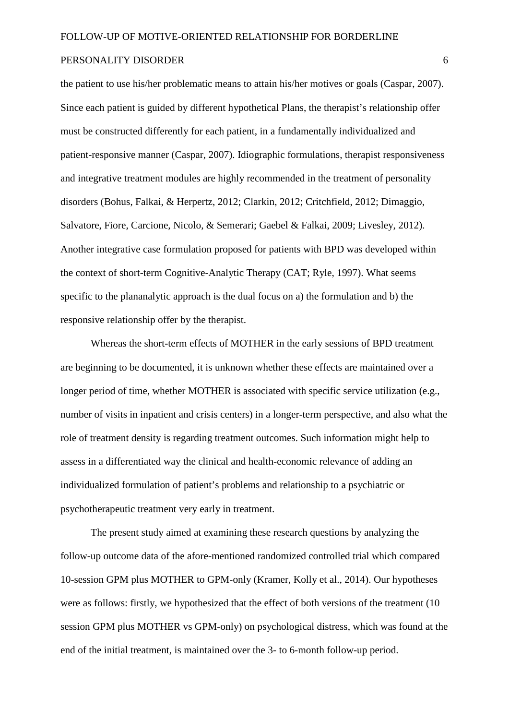the patient to use his/her problematic means to attain his/her motives or goals (Caspar, 2007). Since each patient is guided by different hypothetical Plans, the therapist's relationship offer must be constructed differently for each patient, in a fundamentally individualized and patient-responsive manner (Caspar, 2007). Idiographic formulations, therapist responsiveness and integrative treatment modules are highly recommended in the treatment of personality disorders (Bohus, Falkai, & Herpertz, 2012; Clarkin, 2012; Critchfield, 2012; Dimaggio, Salvatore, Fiore, Carcione, Nicolo, & Semerari; Gaebel & Falkai, 2009; Livesley, 2012). Another integrative case formulation proposed for patients with BPD was developed within the context of short-term Cognitive-Analytic Therapy (CAT; Ryle, 1997). What seems specific to the plananalytic approach is the dual focus on a) the formulation and b) the responsive relationship offer by the therapist.

Whereas the short-term effects of MOTHER in the early sessions of BPD treatment are beginning to be documented, it is unknown whether these effects are maintained over a longer period of time, whether MOTHER is associated with specific service utilization (e.g., number of visits in inpatient and crisis centers) in a longer-term perspective, and also what the role of treatment density is regarding treatment outcomes. Such information might help to assess in a differentiated way the clinical and health-economic relevance of adding an individualized formulation of patient's problems and relationship to a psychiatric or psychotherapeutic treatment very early in treatment.

The present study aimed at examining these research questions by analyzing the follow-up outcome data of the afore-mentioned randomized controlled trial which compared 10-session GPM plus MOTHER to GPM-only (Kramer, Kolly et al., 2014). Our hypotheses were as follows: firstly, we hypothesized that the effect of both versions of the treatment (10 session GPM plus MOTHER vs GPM-only) on psychological distress, which was found at the end of the initial treatment, is maintained over the 3- to 6-month follow-up period.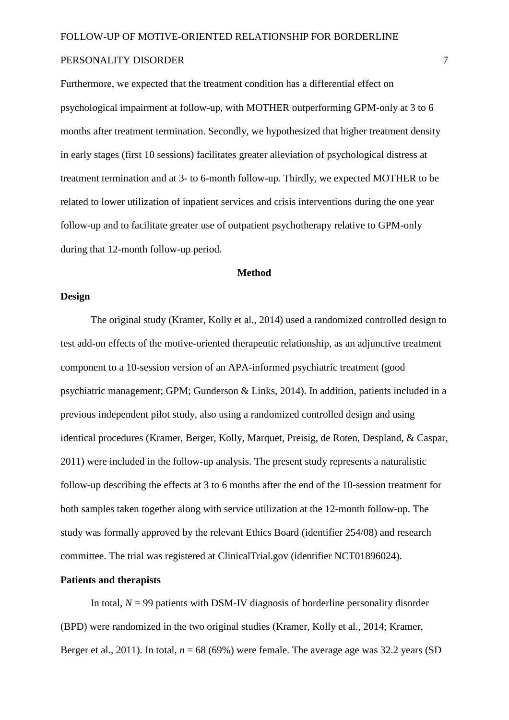Furthermore, we expected that the treatment condition has a differential effect on psychological impairment at follow-up, with MOTHER outperforming GPM-only at 3 to 6 months after treatment termination. Secondly, we hypothesized that higher treatment density in early stages (first 10 sessions) facilitates greater alleviation of psychological distress at treatment termination and at 3- to 6-month follow-up. Thirdly, we expected MOTHER to be related to lower utilization of inpatient services and crisis interventions during the one year follow-up and to facilitate greater use of outpatient psychotherapy relative to GPM-only during that 12-month follow-up period.

#### **Method**

#### **Design**

The original study (Kramer, Kolly et al., 2014) used a randomized controlled design to test add-on effects of the motive-oriented therapeutic relationship, as an adjunctive treatment component to a 10-session version of an APA-informed psychiatric treatment (good psychiatric management; GPM; Gunderson & Links, 2014). In addition, patients included in a previous independent pilot study, also using a randomized controlled design and using identical procedures (Kramer, Berger, Kolly, Marquet, Preisig, de Roten, Despland, & Caspar, 2011) were included in the follow-up analysis. The present study represents a naturalistic follow-up describing the effects at 3 to 6 months after the end of the 10-session treatment for both samples taken together along with service utilization at the 12-month follow-up. The study was formally approved by the relevant Ethics Board (identifier 254/08) and research committee. The trial was registered at ClinicalTrial.gov (identifier NCT01896024).

#### **Patients and therapists**

In total,  $N = 99$  patients with DSM-IV diagnosis of borderline personality disorder (BPD) were randomized in the two original studies (Kramer, Kolly et al., 2014; Kramer, Berger et al., 2011). In total,  $n = 68$  (69%) were female. The average age was 32.2 years (SD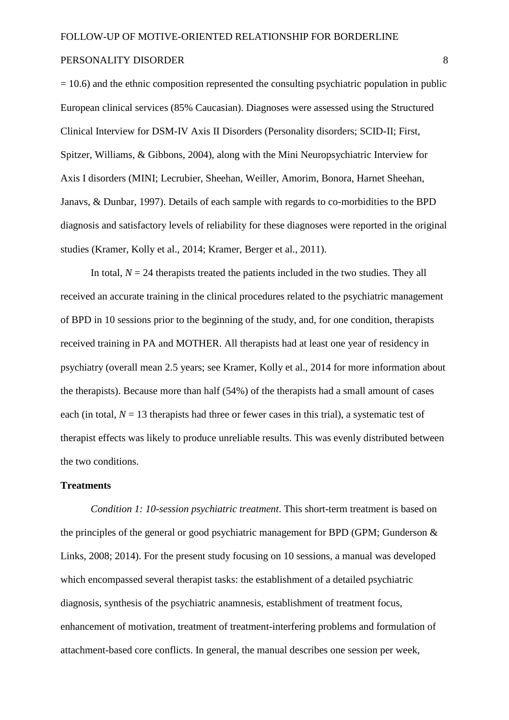$= 10.6$ ) and the ethnic composition represented the consulting psychiatric population in public European clinical services (85% Caucasian). Diagnoses were assessed using the Structured Clinical Interview for DSM-IV Axis II Disorders (Personality disorders; SCID-II; First, Spitzer, Williams, & Gibbons, 2004), along with the Mini Neuropsychiatric Interview for Axis I disorders (MINI; Lecrubier, Sheehan, Weiller, Amorim, Bonora, Harnet Sheehan, Janavs, & Dunbar, 1997). Details of each sample with regards to co-morbidities to the BPD diagnosis and satisfactory levels of reliability for these diagnoses were reported in the original studies (Kramer, Kolly et al., 2014; Kramer, Berger et al., 2011).

In total,  $N = 24$  therapists treated the patients included in the two studies. They all received an accurate training in the clinical procedures related to the psychiatric management of BPD in 10 sessions prior to the beginning of the study, and, for one condition, therapists received training in PA and MOTHER. All therapists had at least one year of residency in psychiatry (overall mean 2.5 years; see Kramer, Kolly et al., 2014 for more information about the therapists). Because more than half (54%) of the therapists had a small amount of cases each (in total,  $N = 13$  therapists had three or fewer cases in this trial), a systematic test of therapist effects was likely to produce unreliable results. This was evenly distributed between the two conditions.

#### **Treatments**

*Condition 1: 10-session psychiatric treatment*. This short-term treatment is based on the principles of the general or good psychiatric management for BPD (GPM; Gunderson & Links, 2008; 2014). For the present study focusing on 10 sessions, a manual was developed which encompassed several therapist tasks: the establishment of a detailed psychiatric diagnosis, synthesis of the psychiatric anamnesis, establishment of treatment focus, enhancement of motivation, treatment of treatment-interfering problems and formulation of attachment-based core conflicts. In general, the manual describes one session per week,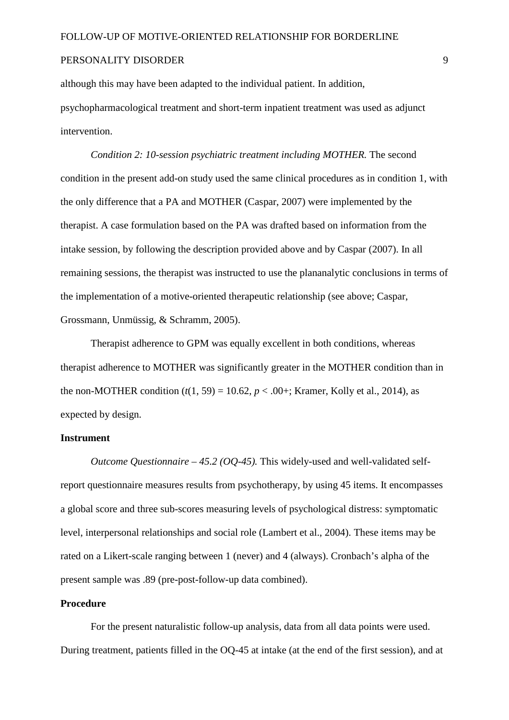although this may have been adapted to the individual patient. In addition, psychopharmacological treatment and short-term inpatient treatment was used as adjunct intervention.

*Condition 2: 10-session psychiatric treatment including MOTHER.* The second condition in the present add-on study used the same clinical procedures as in condition 1, with the only difference that a PA and MOTHER (Caspar, 2007) were implemented by the therapist. A case formulation based on the PA was drafted based on information from the intake session, by following the description provided above and by Caspar (2007). In all remaining sessions, the therapist was instructed to use the plananalytic conclusions in terms of the implementation of a motive-oriented therapeutic relationship (see above; Caspar, Grossmann, Unmüssig, & Schramm, 2005).

Therapist adherence to GPM was equally excellent in both conditions, whereas therapist adherence to MOTHER was significantly greater in the MOTHER condition than in the non-MOTHER condition  $(t(1, 59) = 10.62, p < .00 +$ ; Kramer, Kolly et al., 2014), as expected by design.

#### **Instrument**

*Outcome Questionnaire – 45.2 (OQ-45).* This widely-used and well-validated selfreport questionnaire measures results from psychotherapy, by using 45 items. It encompasses a global score and three sub-scores measuring levels of psychological distress: symptomatic level, interpersonal relationships and social role (Lambert et al., 2004). These items may be rated on a Likert-scale ranging between 1 (never) and 4 (always). Cronbach's alpha of the present sample was .89 (pre-post-follow-up data combined).

#### **Procedure**

For the present naturalistic follow-up analysis, data from all data points were used. During treatment, patients filled in the OQ-45 at intake (at the end of the first session), and at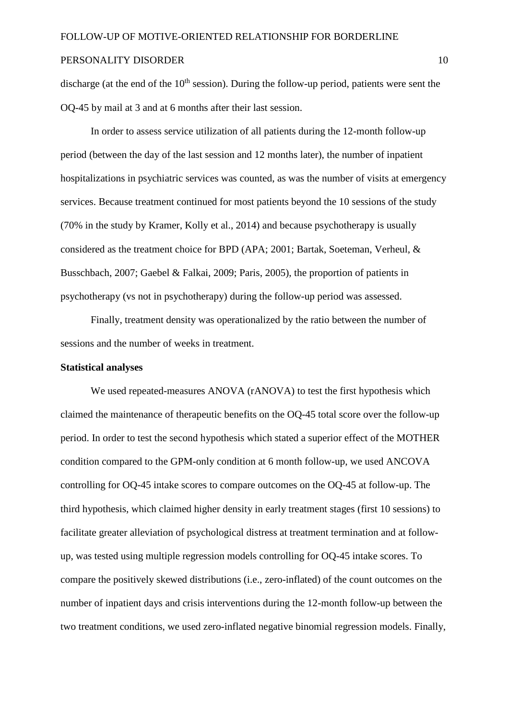discharge (at the end of the  $10<sup>th</sup>$  session). During the follow-up period, patients were sent the OQ-45 by mail at 3 and at 6 months after their last session.

In order to assess service utilization of all patients during the 12-month follow-up period (between the day of the last session and 12 months later), the number of inpatient hospitalizations in psychiatric services was counted, as was the number of visits at emergency services. Because treatment continued for most patients beyond the 10 sessions of the study (70% in the study by Kramer, Kolly et al., 2014) and because psychotherapy is usually considered as the treatment choice for BPD (APA; 2001; Bartak, Soeteman, Verheul, & Busschbach, 2007; Gaebel & Falkai, 2009; Paris, 2005), the proportion of patients in psychotherapy (vs not in psychotherapy) during the follow-up period was assessed.

Finally, treatment density was operationalized by the ratio between the number of sessions and the number of weeks in treatment.

#### **Statistical analyses**

We used repeated-measures ANOVA (rANOVA) to test the first hypothesis which claimed the maintenance of therapeutic benefits on the OQ-45 total score over the follow-up period. In order to test the second hypothesis which stated a superior effect of the MOTHER condition compared to the GPM-only condition at 6 month follow-up, we used ANCOVA controlling for OQ-45 intake scores to compare outcomes on the OQ-45 at follow-up. The third hypothesis, which claimed higher density in early treatment stages (first 10 sessions) to facilitate greater alleviation of psychological distress at treatment termination and at followup, was tested using multiple regression models controlling for OQ-45 intake scores. To compare the positively skewed distributions (i.e., zero-inflated) of the count outcomes on the number of inpatient days and crisis interventions during the 12-month follow-up between the two treatment conditions, we used zero-inflated negative binomial regression models. Finally,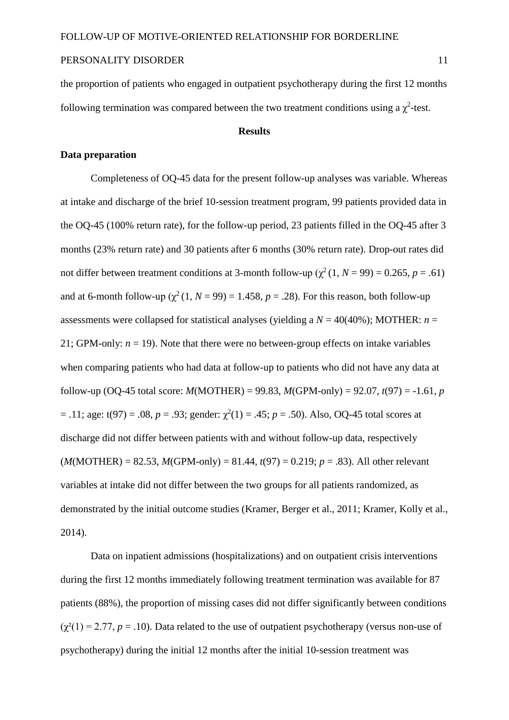the proportion of patients who engaged in outpatient psychotherapy during the first 12 months following termination was compared between the two treatment conditions using a  $\chi^2$ -test.

#### **Results**

#### **Data preparation**

Completeness of OQ-45 data for the present follow-up analyses was variable. Whereas at intake and discharge of the brief 10-session treatment program, 99 patients provided data in the OQ-45 (100% return rate), for the follow-up period, 23 patients filled in the OQ-45 after 3 months (23% return rate) and 30 patients after 6 months (30% return rate). Drop-out rates did not differ between treatment conditions at 3-month follow-up  $(\gamma^2 (1, N = 99) = 0.265, p = .61)$ and at 6-month follow-up  $(\gamma^2 (1, N = 99) = 1.458, p = .28)$ . For this reason, both follow-up assessments were collapsed for statistical analyses (yielding a *N* = 40(40%); MOTHER: *n* = 21; GPM-only:  $n = 19$ ). Note that there were no between-group effects on intake variables when comparing patients who had data at follow-up to patients who did not have any data at follow-up (OQ-45 total score: *M*(MOTHER) = 99.83, *M*(GPM-only) = 92.07, *t*(97) = -1.61, *p*  $= .11$ ; age: t(97) = .08,  $p = .93$ ; gender:  $\chi^2(1) = .45$ ;  $p = .50$ ). Also, OQ-45 total scores at discharge did not differ between patients with and without follow-up data, respectively  $(M(MOTHER) = 82.53, M(GPM-only) = 81.44, t(97) = 0.219; p = .83)$ . All other relevant variables at intake did not differ between the two groups for all patients randomized, as demonstrated by the initial outcome studies (Kramer, Berger et al., 2011; Kramer, Kolly et al., 2014).

Data on inpatient admissions (hospitalizations) and on outpatient crisis interventions during the first 12 months immediately following treatment termination was available for 87 patients (88%), the proportion of missing cases did not differ significantly between conditions  $(\chi^2(1) = 2.77, p = .10)$ . Data related to the use of outpatient psychotherapy (versus non-use of psychotherapy) during the initial 12 months after the initial 10-session treatment was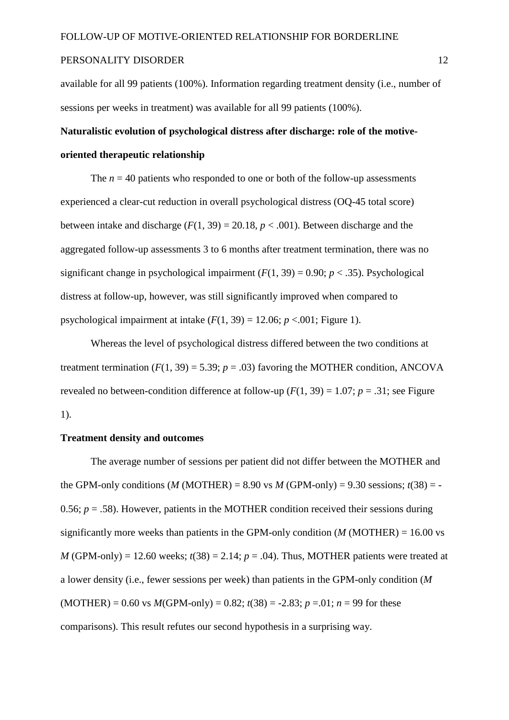available for all 99 patients (100%). Information regarding treatment density (i.e., number of sessions per weeks in treatment) was available for all 99 patients (100%).

## **Naturalistic evolution of psychological distress after discharge: role of the motiveoriented therapeutic relationship**

The  $n = 40$  patients who responded to one or both of the follow-up assessments experienced a clear-cut reduction in overall psychological distress (OQ-45 total score) between intake and discharge  $(F(1, 39) = 20.18, p < .001)$ . Between discharge and the aggregated follow-up assessments 3 to 6 months after treatment termination, there was no significant change in psychological impairment  $(F(1, 39) = 0.90; p < .35)$ . Psychological distress at follow-up, however, was still significantly improved when compared to psychological impairment at intake  $(F(1, 39) = 12.06; p < .001;$  Figure 1).

Whereas the level of psychological distress differed between the two conditions at treatment termination  $(F(1, 39) = 5.39; p = .03)$  favoring the MOTHER condition, ANCOVA revealed no between-condition difference at follow-up  $(F(1, 39) = 1.07; p = .31;$  see Figure 1).

#### **Treatment density and outcomes**

The average number of sessions per patient did not differ between the MOTHER and the GPM-only conditions (*M* (MOTHER) = 8.90 vs *M* (GPM-only) = 9.30 sessions;  $t(38)$  = -0.56;  $p = .58$ ). However, patients in the MOTHER condition received their sessions during significantly more weeks than patients in the GPM-only condition  $(M \text{ (MOTHER)} = 16.00 \text{ vs } 10^{-10} \text{ m}$ *M* (GPM-only) = 12.60 weeks;  $t(38) = 2.14$ ;  $p = .04$ ). Thus, MOTHER patients were treated at a lower density (i.e., fewer sessions per week) than patients in the GPM-only condition (*M*  $(MOTHER) = 0.60$  vs  $M(GPM-only) = 0.82$ ;  $t(38) = -2.83$ ;  $p = 0.01$ ;  $n = 99$  for these comparisons). This result refutes our second hypothesis in a surprising way.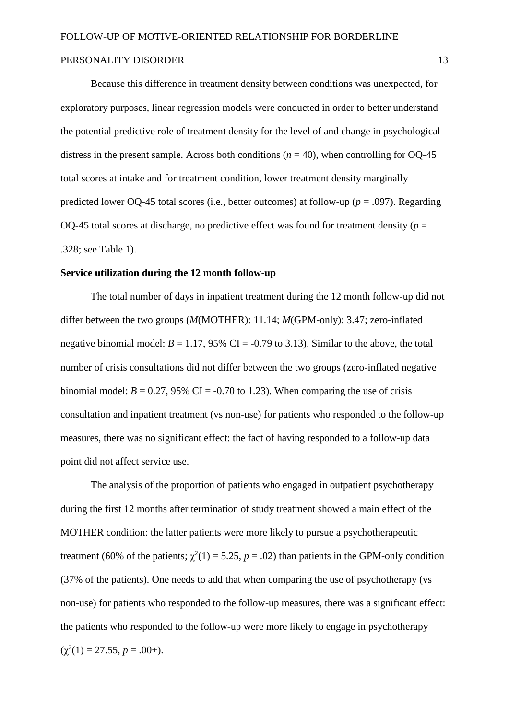Because this difference in treatment density between conditions was unexpected, for exploratory purposes, linear regression models were conducted in order to better understand the potential predictive role of treatment density for the level of and change in psychological distress in the present sample. Across both conditions ( $n = 40$ ), when controlling for OQ-45 total scores at intake and for treatment condition, lower treatment density marginally predicted lower OQ-45 total scores (i.e., better outcomes) at follow-up (*p* = .097). Regarding OO-45 total scores at discharge, no predictive effect was found for treatment density ( $p =$ .328; see Table 1).

#### **Service utilization during the 12 month follow-up**

The total number of days in inpatient treatment during the 12 month follow-up did not differ between the two groups (*M*(MOTHER): 11.14; *M*(GPM-only): 3.47; zero-inflated negative binomial model:  $B = 1.17$ , 95% CI = -0.79 to 3.13). Similar to the above, the total number of crisis consultations did not differ between the two groups (zero-inflated negative binomial model:  $B = 0.27$ , 95% CI = -0.70 to 1.23). When comparing the use of crisis consultation and inpatient treatment (vs non-use) for patients who responded to the follow-up measures, there was no significant effect: the fact of having responded to a follow-up data point did not affect service use.

The analysis of the proportion of patients who engaged in outpatient psychotherapy during the first 12 months after termination of study treatment showed a main effect of the MOTHER condition: the latter patients were more likely to pursue a psychotherapeutic treatment (60% of the patients;  $\chi^2(1) = 5.25$ ,  $p = .02$ ) than patients in the GPM-only condition (37% of the patients). One needs to add that when comparing the use of psychotherapy (vs non-use) for patients who responded to the follow-up measures, there was a significant effect: the patients who responded to the follow-up were more likely to engage in psychotherapy  $(\chi^2(1) = 27.55, p = .00+).$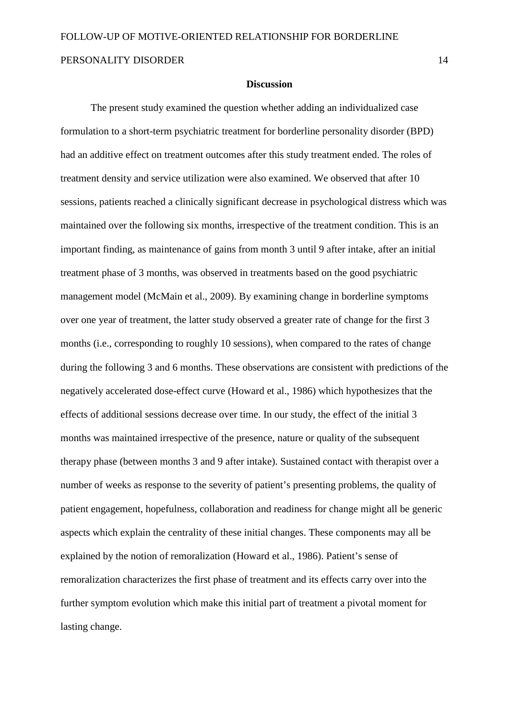#### **Discussion**

The present study examined the question whether adding an individualized case formulation to a short-term psychiatric treatment for borderline personality disorder (BPD) had an additive effect on treatment outcomes after this study treatment ended. The roles of treatment density and service utilization were also examined. We observed that after 10 sessions, patients reached a clinically significant decrease in psychological distress which was maintained over the following six months, irrespective of the treatment condition. This is an important finding, as maintenance of gains from month 3 until 9 after intake, after an initial treatment phase of 3 months, was observed in treatments based on the good psychiatric management model (McMain et al., 2009). By examining change in borderline symptoms over one year of treatment, the latter study observed a greater rate of change for the first 3 months (i.e., corresponding to roughly 10 sessions), when compared to the rates of change during the following 3 and 6 months. These observations are consistent with predictions of the negatively accelerated dose-effect curve (Howard et al., 1986) which hypothesizes that the effects of additional sessions decrease over time. In our study, the effect of the initial 3 months was maintained irrespective of the presence, nature or quality of the subsequent therapy phase (between months 3 and 9 after intake). Sustained contact with therapist over a number of weeks as response to the severity of patient's presenting problems, the quality of patient engagement, hopefulness, collaboration and readiness for change might all be generic aspects which explain the centrality of these initial changes. These components may all be explained by the notion of remoralization (Howard et al., 1986). Patient's sense of remoralization characterizes the first phase of treatment and its effects carry over into the further symptom evolution which make this initial part of treatment a pivotal moment for lasting change.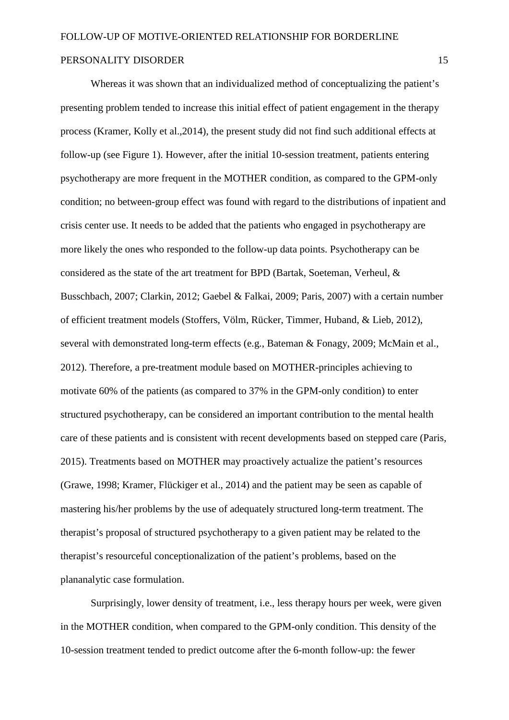Whereas it was shown that an individualized method of conceptualizing the patient's presenting problem tended to increase this initial effect of patient engagement in the therapy process (Kramer, Kolly et al.,2014), the present study did not find such additional effects at follow-up (see Figure 1). However, after the initial 10-session treatment, patients entering psychotherapy are more frequent in the MOTHER condition, as compared to the GPM-only condition; no between-group effect was found with regard to the distributions of inpatient and crisis center use. It needs to be added that the patients who engaged in psychotherapy are more likely the ones who responded to the follow-up data points. Psychotherapy can be considered as the state of the art treatment for BPD (Bartak, Soeteman, Verheul, & Busschbach, 2007; Clarkin, 2012; Gaebel & Falkai, 2009; Paris, 2007) with a certain number of efficient treatment models (Stoffers, Völm, Rücker, Timmer, Huband, & Lieb, 2012), several with demonstrated long-term effects (e.g., Bateman & Fonagy, 2009; McMain et al., 2012). Therefore, a pre-treatment module based on MOTHER-principles achieving to motivate 60% of the patients (as compared to 37% in the GPM-only condition) to enter structured psychotherapy, can be considered an important contribution to the mental health care of these patients and is consistent with recent developments based on stepped care (Paris, 2015). Treatments based on MOTHER may proactively actualize the patient's resources (Grawe, 1998; Kramer, Flückiger et al., 2014) and the patient may be seen as capable of mastering his/her problems by the use of adequately structured long-term treatment. The therapist's proposal of structured psychotherapy to a given patient may be related to the therapist's resourceful conceptionalization of the patient's problems, based on the plananalytic case formulation.

Surprisingly, lower density of treatment, i.e., less therapy hours per week, were given in the MOTHER condition, when compared to the GPM-only condition. This density of the 10-session treatment tended to predict outcome after the 6-month follow-up: the fewer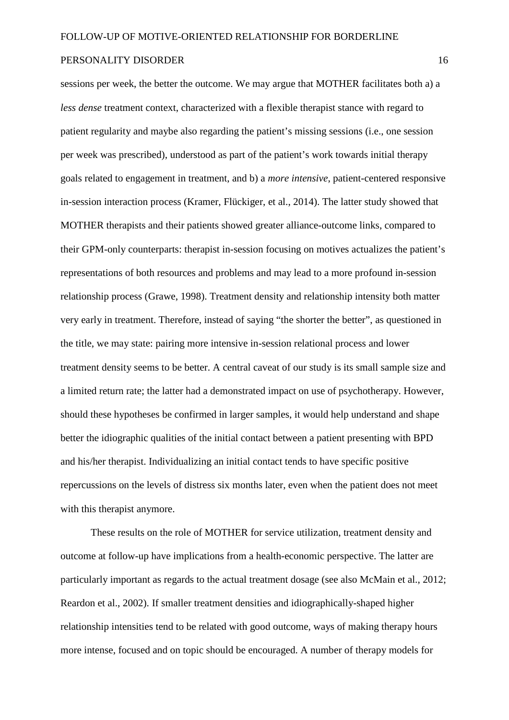sessions per week, the better the outcome. We may argue that MOTHER facilitates both a) a *less dense* treatment context, characterized with a flexible therapist stance with regard to patient regularity and maybe also regarding the patient's missing sessions (i.e., one session per week was prescribed), understood as part of the patient's work towards initial therapy goals related to engagement in treatment, and b) a *more intensive*, patient-centered responsive in-session interaction process (Kramer, Flückiger, et al., 2014). The latter study showed that MOTHER therapists and their patients showed greater alliance-outcome links, compared to their GPM-only counterparts: therapist in-session focusing on motives actualizes the patient's representations of both resources and problems and may lead to a more profound in-session relationship process (Grawe, 1998). Treatment density and relationship intensity both matter very early in treatment. Therefore, instead of saying "the shorter the better", as questioned in the title, we may state: pairing more intensive in-session relational process and lower treatment density seems to be better. A central caveat of our study is its small sample size and a limited return rate; the latter had a demonstrated impact on use of psychotherapy. However, should these hypotheses be confirmed in larger samples, it would help understand and shape better the idiographic qualities of the initial contact between a patient presenting with BPD and his/her therapist. Individualizing an initial contact tends to have specific positive repercussions on the levels of distress six months later, even when the patient does not meet with this therapist anymore.

These results on the role of MOTHER for service utilization, treatment density and outcome at follow-up have implications from a health-economic perspective. The latter are particularly important as regards to the actual treatment dosage (see also McMain et al., 2012; Reardon et al., 2002). If smaller treatment densities and idiographically-shaped higher relationship intensities tend to be related with good outcome, ways of making therapy hours more intense, focused and on topic should be encouraged. A number of therapy models for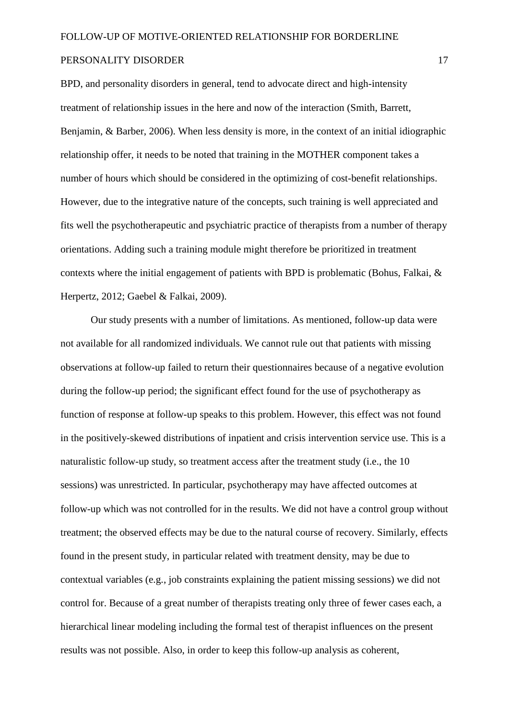BPD, and personality disorders in general, tend to advocate direct and high-intensity treatment of relationship issues in the here and now of the interaction (Smith, Barrett, Benjamin, & Barber, 2006). When less density is more, in the context of an initial idiographic relationship offer, it needs to be noted that training in the MOTHER component takes a number of hours which should be considered in the optimizing of cost-benefit relationships. However, due to the integrative nature of the concepts, such training is well appreciated and fits well the psychotherapeutic and psychiatric practice of therapists from a number of therapy orientations. Adding such a training module might therefore be prioritized in treatment contexts where the initial engagement of patients with BPD is problematic (Bohus, Falkai, & Herpertz, 2012; Gaebel & Falkai, 2009).

Our study presents with a number of limitations. As mentioned, follow-up data were not available for all randomized individuals. We cannot rule out that patients with missing observations at follow-up failed to return their questionnaires because of a negative evolution during the follow-up period; the significant effect found for the use of psychotherapy as function of response at follow-up speaks to this problem. However, this effect was not found in the positively-skewed distributions of inpatient and crisis intervention service use. This is a naturalistic follow-up study, so treatment access after the treatment study (i.e., the 10 sessions) was unrestricted. In particular, psychotherapy may have affected outcomes at follow-up which was not controlled for in the results. We did not have a control group without treatment; the observed effects may be due to the natural course of recovery. Similarly, effects found in the present study, in particular related with treatment density, may be due to contextual variables (e.g., job constraints explaining the patient missing sessions) we did not control for. Because of a great number of therapists treating only three of fewer cases each, a hierarchical linear modeling including the formal test of therapist influences on the present results was not possible. Also, in order to keep this follow-up analysis as coherent,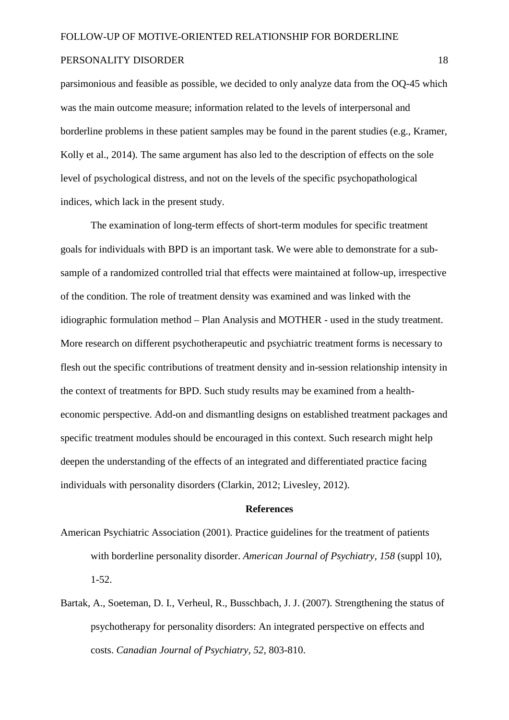parsimonious and feasible as possible, we decided to only analyze data from the OQ-45 which was the main outcome measure; information related to the levels of interpersonal and borderline problems in these patient samples may be found in the parent studies (e.g., Kramer, Kolly et al., 2014). The same argument has also led to the description of effects on the sole level of psychological distress, and not on the levels of the specific psychopathological indices, which lack in the present study.

The examination of long-term effects of short-term modules for specific treatment goals for individuals with BPD is an important task. We were able to demonstrate for a subsample of a randomized controlled trial that effects were maintained at follow-up, irrespective of the condition. The role of treatment density was examined and was linked with the idiographic formulation method – Plan Analysis and MOTHER - used in the study treatment. More research on different psychotherapeutic and psychiatric treatment forms is necessary to flesh out the specific contributions of treatment density and in-session relationship intensity in the context of treatments for BPD. Such study results may be examined from a healtheconomic perspective. Add-on and dismantling designs on established treatment packages and specific treatment modules should be encouraged in this context. Such research might help deepen the understanding of the effects of an integrated and differentiated practice facing individuals with personality disorders (Clarkin, 2012; Livesley, 2012).

#### **References**

- American Psychiatric Association (2001). Practice guidelines for the treatment of patients with borderline personality disorder. *American Journal of Psychiatry, 158* (suppl 10), 1-52.
- Bartak, A., Soeteman, D. I., Verheul, R., Busschbach, J. J. (2007). Strengthening the status of psychotherapy for personality disorders: An integrated perspective on effects and costs. *Canadian Journal of Psychiatry, 52*, 803-810.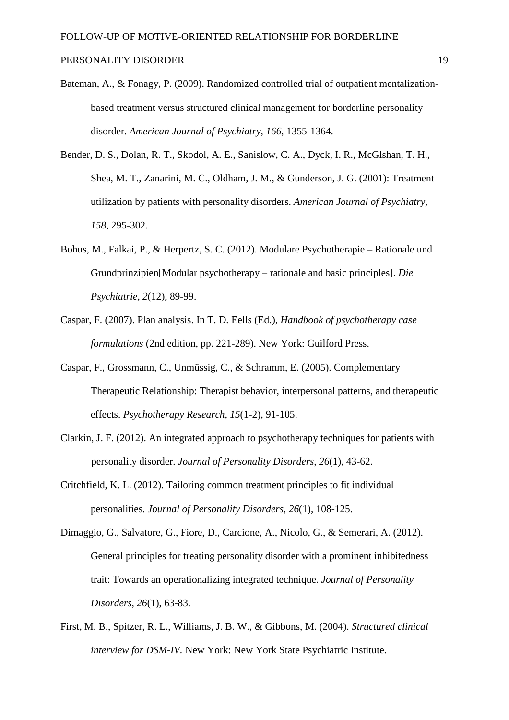- Bateman, A., & Fonagy, P. (2009). Randomized controlled trial of outpatient mentalizationbased treatment versus structured clinical management for borderline personality disorder. *American Journal of Psychiatry, 166*, 1355-1364.
- Bender, D. S., Dolan, R. T., Skodol, A. E., Sanislow, C. A., Dyck, I. R., McGlshan, T. H., Shea, M. T., Zanarini, M. C., Oldham, J. M., & Gunderson, J. G. (2001): Treatment utilization by patients with personality disorders. *American Journal of Psychiatry, 158,* 295-302.
- Bohus, M., Falkai, P., & Herpertz, S. C. (2012). Modulare Psychotherapie Rationale und Grundprinzipien[Modular psychotherapy – rationale and basic principles]. *Die Psychiatrie, 2*(12), 89-99.
- Caspar, F. (2007). Plan analysis. In T. D. Eells (Ed.), *Handbook of psychotherapy case formulations* (2nd edition, pp. 221-289). New York: Guilford Press.
- Caspar, F., Grossmann, C., Unmüssig, C., & Schramm, E. (2005). Complementary Therapeutic Relationship: Therapist behavior, interpersonal patterns, and therapeutic effects. *Psychotherapy Research, 15*(1-2), 91-105.
- Clarkin, J. F. (2012). An integrated approach to psychotherapy techniques for patients with personality disorder. *Journal of Personality Disorders, 26*(1), 43-62.
- Critchfield, K. L. (2012). Tailoring common treatment principles to fit individual personalities. *Journal of Personality Disorders, 26*(1), 108-125.
- Dimaggio, G., Salvatore, G., Fiore, D., Carcione, A., Nicolo, G., & Semerari, A. (2012). General principles for treating personality disorder with a prominent inhibitedness trait: Towards an operationalizing integrated technique. *Journal of Personality Disorders, 26*(1), 63-83.
- First, M. B., Spitzer, R. L., Williams, J. B. W., & Gibbons, M. (2004). *Structured clinical interview for DSM-IV.* New York: New York State Psychiatric Institute.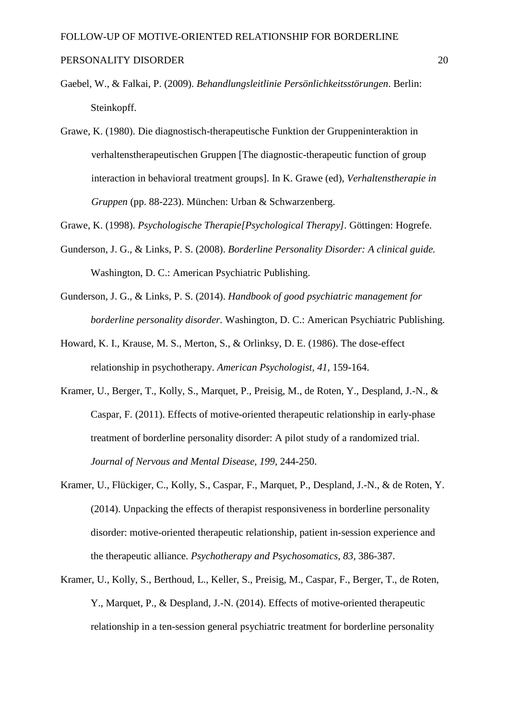- Gaebel, W., & Falkai, P. (2009). *Behandlungsleitlinie Persönlichkeitsstörungen*. Berlin: Steinkopff.
- Grawe, K. (1980). Die diagnostisch-therapeutische Funktion der Gruppeninteraktion in verhaltenstherapeutischen Gruppen [The diagnostic-therapeutic function of group interaction in behavioral treatment groups]. In K. Grawe (ed), *Verhaltenstherapie in Gruppen* (pp. 88-223). München: Urban & Schwarzenberg.

Grawe, K. (1998). *Psychologische Therapie[Psychological Therapy].* Göttingen: Hogrefe.

- Gunderson, J. G., & Links, P. S. (2008). *Borderline Personality Disorder: A clinical guide.* Washington, D. C.: American Psychiatric Publishing.
- Gunderson, J. G., & Links, P. S. (2014). *Handbook of good psychiatric management for borderline personality disorder.* Washington, D. C.: American Psychiatric Publishing.
- Howard, K. I., Krause, M. S., Merton, S., & Orlinksy, D. E. (1986). The dose-effect relationship in psychotherapy. *American Psychologist, 41*, 159-164.
- Kramer, U., Berger, T., Kolly, S., Marquet, P., Preisig, M., de Roten, Y., Despland, J.-N., & Caspar, F. (2011). Effects of motive-oriented therapeutic relationship in early-phase treatment of borderline personality disorder: A pilot study of a randomized trial. *Journal of Nervous and Mental Disease, 199*, 244-250.
- Kramer, U., Flückiger, C., Kolly, S., Caspar, F., Marquet, P., Despland, J.-N., & de Roten, Y. (2014). Unpacking the effects of therapist responsiveness in borderline personality disorder: motive-oriented therapeutic relationship, patient in-session experience and the therapeutic alliance. *Psychotherapy and Psychosomatics, 83*, 386-387.
- Kramer, U., Kolly, S., Berthoud, L., Keller, S., Preisig, M., Caspar, F., Berger, T., de Roten, Y., Marquet, P., & Despland, J.-N. (2014). Effects of motive-oriented therapeutic relationship in a ten-session general psychiatric treatment for borderline personality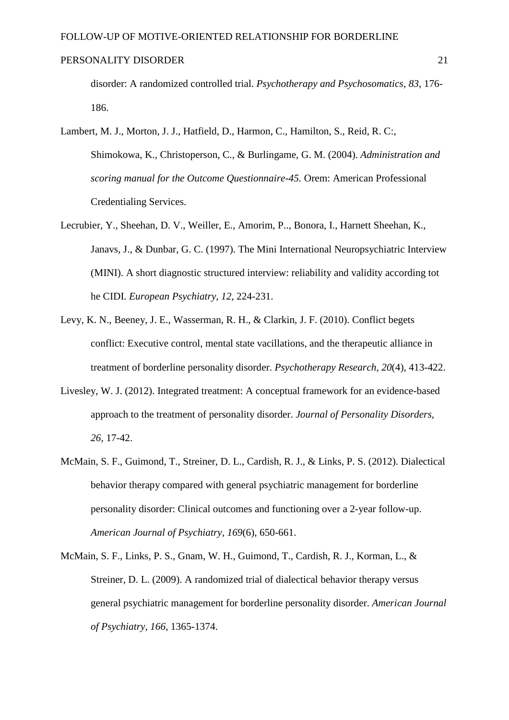disorder: A randomized controlled trial. *Psychotherapy and Psychosomatics, 83*, 176- 186.

- Lambert, M. J., Morton, J. J., Hatfield, D., Harmon, C., Hamilton, S., Reid, R. C:, Shimokowa, K., Christoperson, C., & Burlingame, G. M. (2004). *Administration and scoring manual for the Outcome Questionnaire-45.* Orem: American Professional Credentialing Services.
- Lecrubier, Y., Sheehan, D. V., Weiller, E., Amorim, P.., Bonora, I., Harnett Sheehan, K., Janavs, J., & Dunbar, G. C. (1997). The Mini International Neuropsychiatric Interview (MINI). A short diagnostic structured interview: reliability and validity according tot he CIDI. *European Psychiatry, 12*, 224-231.
- Levy, K. N., Beeney, J. E., Wasserman, R. H., & Clarkin, J. F. (2010). Conflict begets conflict: Executive control, mental state vacillations, and the therapeutic alliance in treatment of borderline personality disorder. *Psychotherapy Research, 20*(4), 413-422.
- Livesley, W. J. (2012). Integrated treatment: A conceptual framework for an evidence-based approach to the treatment of personality disorder. *Journal of Personality Disorders, 26,* 17-42.
- McMain, S. F., Guimond, T., Streiner, D. L., Cardish, R. J., & Links, P. S. (2012). Dialectical behavior therapy compared with general psychiatric management for borderline personality disorder: Clinical outcomes and functioning over a 2-year follow-up. *American Journal of Psychiatry, 169*(6), 650-661.
- McMain, S. F., Links, P. S., Gnam, W. H., Guimond, T., Cardish, R. J., Korman, L., & Streiner, D. L. (2009). A randomized trial of dialectical behavior therapy versus general psychiatric management for borderline personality disorder. *American Journal of Psychiatry, 166*, 1365-1374.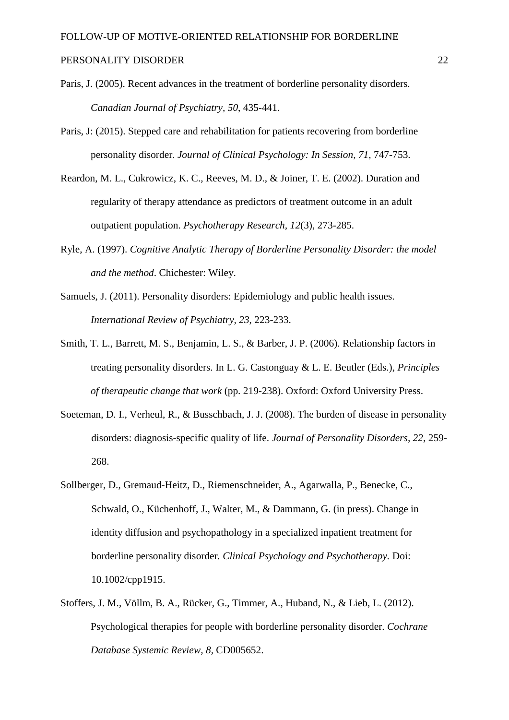- Paris, J. (2005). Recent advances in the treatment of borderline personality disorders. *Canadian Journal of Psychiatry, 50*, 435-441.
- Paris, J: (2015). Stepped care and rehabilitation for patients recovering from borderline personality disorder. *Journal of Clinical Psychology: In Session, 71*, 747-753.
- Reardon, M. L., Cukrowicz, K. C., Reeves, M. D., & Joiner, T. E. (2002). Duration and regularity of therapy attendance as predictors of treatment outcome in an adult outpatient population. *Psychotherapy Research, 12*(3), 273-285.
- Ryle, A. (1997). *Cognitive Analytic Therapy of Borderline Personality Disorder: the model and the method*. Chichester: Wiley.
- Samuels, J. (2011). Personality disorders: Epidemiology and public health issues. *International Review of Psychiatry, 23*, 223-233.
- Smith, T. L., Barrett, M. S., Benjamin, L. S., & Barber, J. P. (2006). Relationship factors in treating personality disorders. In L. G. Castonguay & L. E. Beutler (Eds.), *Principles of therapeutic change that work* (pp. 219-238). Oxford: Oxford University Press.
- Soeteman, D. I., Verheul, R., & Busschbach, J. J. (2008). The burden of disease in personality disorders: diagnosis-specific quality of life. *Journal of Personality Disorders, 22*, 259- 268.
- Sollberger, D., Gremaud-Heitz, D., Riemenschneider, A., Agarwalla, P., Benecke, C., Schwald, O., Küchenhoff, J., Walter, M., & Dammann, G. (in press). Change in identity diffusion and psychopathology in a specialized inpatient treatment for borderline personality disorder*. Clinical Psychology and Psychotherapy.* Doi: 10.1002/cpp1915.
- Stoffers, J. M., Völlm, B. A., Rücker, G., Timmer, A., Huband, N., & Lieb, L. (2012). Psychological therapies for people with borderline personality disorder. *Cochrane Database Systemic Review, 8,* CD005652.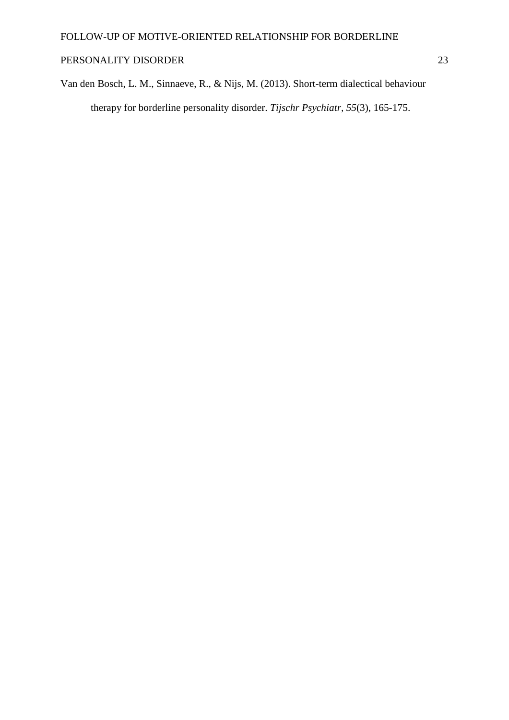Van den Bosch, L. M., Sinnaeve, R., & Nijs, M. (2013). Short-term dialectical behaviour therapy for borderline personality disorder. *Tijschr Psychiatr, 55*(3), 165-175.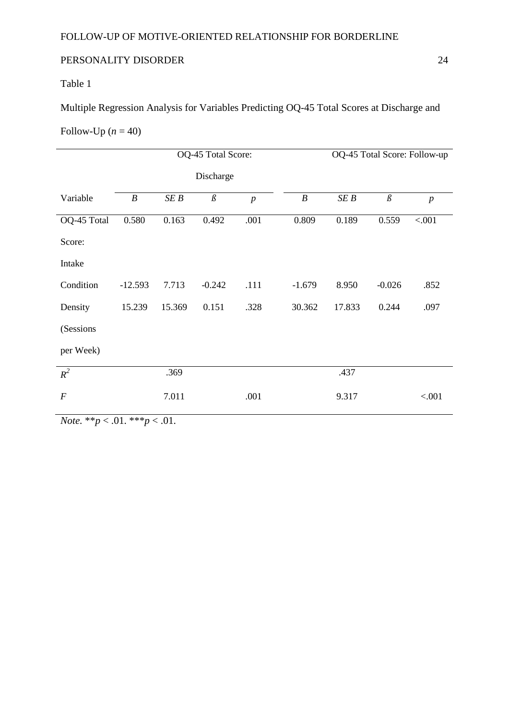## Table 1

Multiple Regression Analysis for Variables Predicting OQ-45 Total Scores at Discharge and

### Follow-Up  $(n = 40)$

|                  | OQ-45 Total Score: |        |          |                | OQ-45 Total Score: Follow-up |        |          |                  |
|------------------|--------------------|--------|----------|----------------|------------------------------|--------|----------|------------------|
|                  | Discharge          |        |          |                |                              |        |          |                  |
| Variable         | $\boldsymbol{B}$   | SEB    | $\beta$  | $\overline{p}$ | $\boldsymbol{B}$             | SEB    | $\beta$  | $\boldsymbol{p}$ |
| OQ-45 Total      | 0.580              | 0.163  | 0.492    | .001           | 0.809                        | 0.189  | 0.559    | < .001           |
| Score:           |                    |        |          |                |                              |        |          |                  |
| Intake           |                    |        |          |                |                              |        |          |                  |
| Condition        | $-12.593$          | 7.713  | $-0.242$ | .111           | $-1.679$                     | 8.950  | $-0.026$ | .852             |
| Density          | 15.239             | 15.369 | 0.151    | .328           | 30.362                       | 17.833 | 0.244    | .097             |
| (Sessions)       |                    |        |          |                |                              |        |          |                  |
| per Week)        |                    |        |          |                |                              |        |          |                  |
| $R^2$            |                    | .369   |          |                |                              | .437   |          |                  |
| $\boldsymbol{F}$ |                    | 7.011  |          | .001           |                              | 9.317  |          | < .001           |
|                  |                    |        |          |                |                              |        |          |                  |

*Note.* \*\**p* < .01. \*\*\**p* < .01.